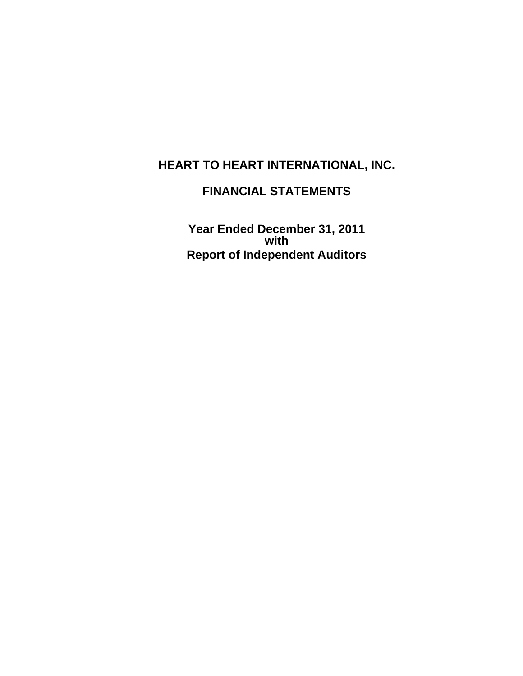# **FINANCIAL STATEMENTS**

**Year Ended December 31, 2011 with Report of Independent Auditors**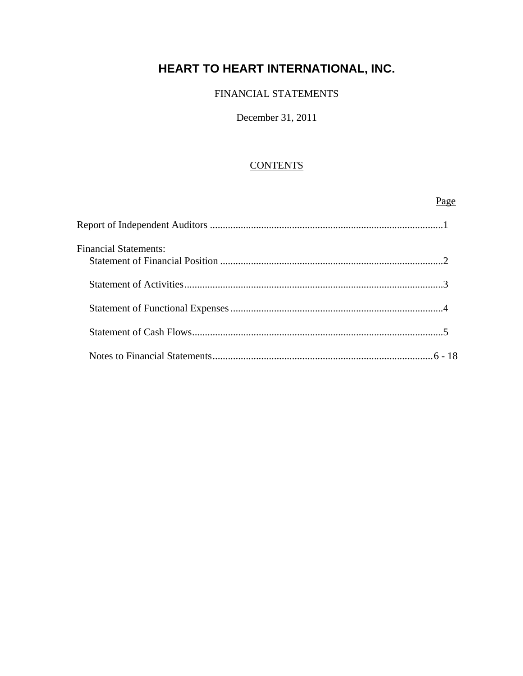### FINANCIAL STATEMENTS

#### December 31, 2011

### **CONTENTS**

# Page and the state of the state of the state of the state of the state of the state of the state of the state of the state of the state of the state of the state of the state of the state of the state of the state of the s Report of Independent Auditors ...........................................................................................1 Financial Statements: Statement of Financial Position .......................................................................................2 Statement of Activities .....................................................................................................3 Statement of Functional Expenses ...................................................................................4 Statement of Cash Flows ..................................................................................................5 Notes to Financial Statements ...................................................................................... 6 - 18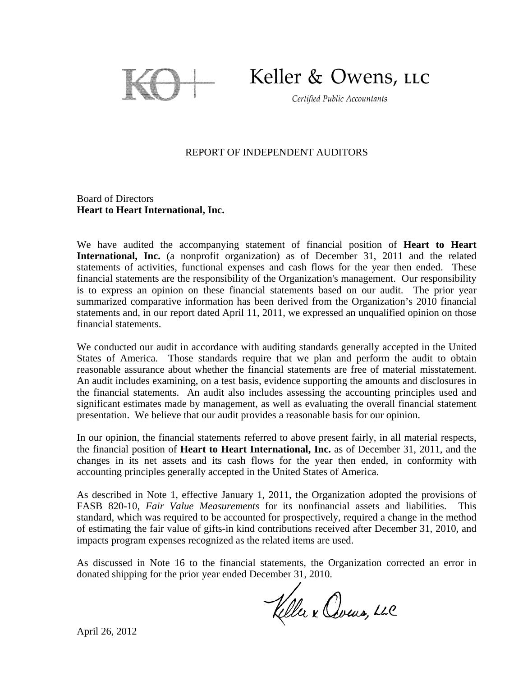

Keller & Owens, LLC

Certified Public Accountants

#### REPORT OF INDEPENDENT AUDITORS

Board of Directors **Heart to Heart International, Inc.** 

We have audited the accompanying statement of financial position of **Heart to Heart International, Inc.** (a nonprofit organization) as of December 31, 2011 and the related statements of activities, functional expenses and cash flows for the year then ended. These financial statements are the responsibility of the Organization's management. Our responsibility is to express an opinion on these financial statements based on our audit. The prior year summarized comparative information has been derived from the Organization's 2010 financial statements and, in our report dated April 11, 2011, we expressed an unqualified opinion on those financial statements.

We conducted our audit in accordance with auditing standards generally accepted in the United States of America. Those standards require that we plan and perform the audit to obtain reasonable assurance about whether the financial statements are free of material misstatement. An audit includes examining, on a test basis, evidence supporting the amounts and disclosures in the financial statements. An audit also includes assessing the accounting principles used and significant estimates made by management, as well as evaluating the overall financial statement presentation. We believe that our audit provides a reasonable basis for our opinion.

In our opinion, the financial statements referred to above present fairly, in all material respects, the financial position of **Heart to Heart International, Inc.** as of December 31, 2011, and the changes in its net assets and its cash flows for the year then ended, in conformity with accounting principles generally accepted in the United States of America.

As described in Note 1, effective January 1, 2011, the Organization adopted the provisions of FASB 820-10, *Fair Value Measurements* for its nonfinancial assets and liabilities. This standard, which was required to be accounted for prospectively, required a change in the method of estimating the fair value of gifts-in kind contributions received after December 31, 2010, and impacts program expenses recognized as the related items are used.

As discussed in Note 16 to the financial statements, the Organization corrected an error in donated shipping for the prior year ended December 31, 2010.

Keller x Cours, LLC

April 26, 2012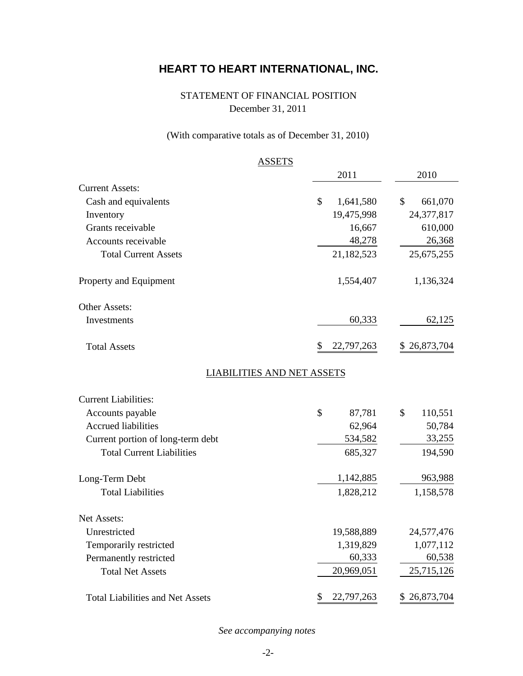# STATEMENT OF FINANCIAL POSITION December 31, 2011

# (With comparative totals as of December 31, 2010)

|                                         | <b>ASSETS</b>                     |               |
|-----------------------------------------|-----------------------------------|---------------|
|                                         | 2011                              | 2010          |
| <b>Current Assets:</b>                  |                                   |               |
| Cash and equivalents                    | \$<br>1,641,580                   | 661,070<br>\$ |
| Inventory                               | 19,475,998                        | 24,377,817    |
| Grants receivable                       | 16,667                            | 610,000       |
| Accounts receivable                     | 48,278                            | 26,368        |
| <b>Total Current Assets</b>             | 21,182,523                        | 25,675,255    |
| Property and Equipment                  | 1,554,407                         | 1,136,324     |
| Other Assets:                           |                                   |               |
| Investments                             | 60,333                            | 62,125        |
| <b>Total Assets</b>                     | \$<br>22,797,263                  | \$26,873,704  |
|                                         | <b>LIABILITIES AND NET ASSETS</b> |               |
| <b>Current Liabilities:</b>             |                                   |               |
| Accounts payable                        | \$<br>87,781                      | \$<br>110,551 |
| <b>Accrued liabilities</b>              | 62,964                            | 50,784        |
| Current portion of long-term debt       | 534,582                           | 33,255        |
| <b>Total Current Liabilities</b>        | 685,327                           | 194,590       |
| Long-Term Debt                          | 1,142,885                         | 963,988       |
| <b>Total Liabilities</b>                | 1,828,212                         | 1,158,578     |
| Net Assets:                             |                                   |               |
| Unrestricted                            | 19,588,889                        | 24,577,476    |
| Temporarily restricted                  | 1,319,829                         | 1,077,112     |
| Permanently restricted                  | 60,333                            | 60,538        |
| <b>Total Net Assets</b>                 | 20,969,051                        | 25,715,126    |
| <b>Total Liabilities and Net Assets</b> | \$<br>22,797,263                  | \$26,873,704  |

*See accompanying notes*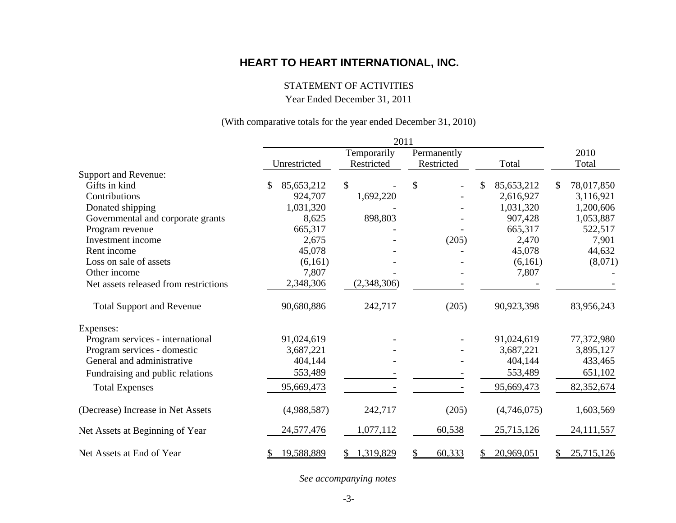### STATEMENT OF ACTIVITIES

Year Ended December 31, 2011

### (With comparative totals for the year ended December 31, 2010)

|                                       |                             | 2011            |               |             |                  |
|---------------------------------------|-----------------------------|-----------------|---------------|-------------|------------------|
|                                       |                             | Temporarily     | Permanently   |             | 2010             |
|                                       | Unrestricted                | Restricted      | Restricted    | Total       | Total            |
| Support and Revenue:                  |                             |                 |               |             |                  |
| Gifts in kind                         | $\mathcal{S}$<br>85,653,212 | $\mathbb{S}$    | $\mathcal{S}$ | 85,653,212  | 78,017,850<br>\$ |
| Contributions                         | 924,707                     | 1,692,220       |               | 2,616,927   | 3,116,921        |
| Donated shipping                      | 1,031,320                   |                 |               | 1,031,320   | 1,200,606        |
| Governmental and corporate grants     | 8,625                       | 898,803         |               | 907,428     | 1,053,887        |
| Program revenue                       | 665,317                     |                 |               | 665,317     | 522,517          |
| Investment income                     | 2,675                       |                 | (205)         | 2,470       | 7,901            |
| Rent income                           | 45,078                      |                 |               | 45,078      | 44,632           |
| Loss on sale of assets                | (6,161)                     |                 |               | (6,161)     | (8,071)          |
| Other income                          | 7,807                       |                 |               | 7,807       |                  |
| Net assets released from restrictions | 2,348,306                   | (2,348,306)     |               |             |                  |
| <b>Total Support and Revenue</b>      | 90,680,886                  | 242,717         | (205)         | 90,923,398  | 83,956,243       |
| Expenses:                             |                             |                 |               |             |                  |
| Program services - international      | 91,024,619                  |                 |               | 91,024,619  | 77,372,980       |
| Program services - domestic           | 3,687,221                   |                 |               | 3,687,221   | 3,895,127        |
| General and administrative            | 404,144                     |                 |               | 404,144     | 433,465          |
| Fundraising and public relations      | 553,489                     |                 |               | 553,489     | 651,102          |
| <b>Total Expenses</b>                 | 95,669,473                  |                 |               | 95,669,473  | 82,352,674       |
| (Decrease) Increase in Net Assets     | (4,988,587)                 | 242,717         | (205)         | (4,746,075) | 1,603,569        |
| Net Assets at Beginning of Year       | 24,577,476                  | 1,077,112       | 60,538        | 25,715,126  | 24, 111, 557     |
| Net Assets at End of Year             | 19,588,889<br>S             | 1,319,829<br>S. | 60,333<br>\$  | 20,969,051  | 25,715,126<br>S. |

*See accompanying notes*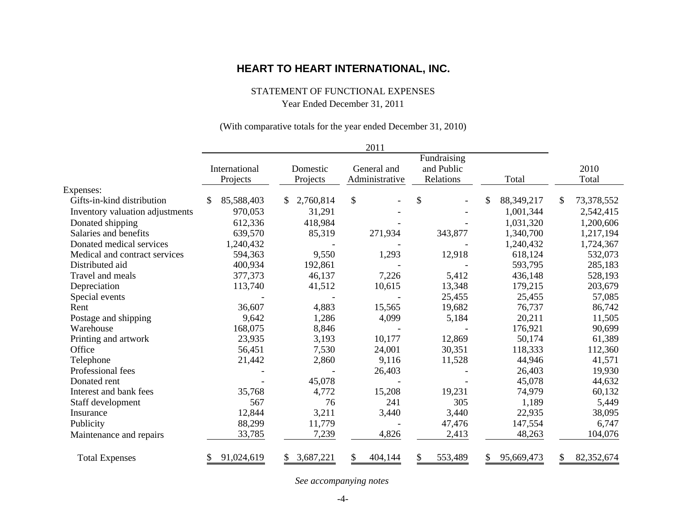#### STATEMENT OF FUNCTIONAL EXPENSES

Year Ended December 31, 2011

#### (With comparative totals for the year ended December 31, 2010)

|                                 |                           |                      | 2011                          |                                        |                    |                  |
|---------------------------------|---------------------------|----------------------|-------------------------------|----------------------------------------|--------------------|------------------|
|                                 | International<br>Projects | Domestic<br>Projects | General and<br>Administrative | Fundraising<br>and Public<br>Relations | Total              | 2010<br>Total    |
| Expenses:                       |                           |                      |                               |                                        |                    |                  |
| Gifts-in-kind distribution      | 85,588,403<br>\$          | 2,760,814            | $\mathcal{S}$                 | \$                                     | \$<br>88, 349, 217 | \$<br>73,378,552 |
| Inventory valuation adjustments | 970,053                   | 31,291               |                               |                                        | 1,001,344          | 2,542,415        |
| Donated shipping                | 612,336                   | 418,984              |                               |                                        | 1,031,320          | 1,200,606        |
| Salaries and benefits           | 639,570                   | 85,319               | 271,934                       | 343,877                                | 1,340,700          | 1,217,194        |
| Donated medical services        | 1,240,432                 |                      |                               |                                        | 1,240,432          | 1,724,367        |
| Medical and contract services   | 594,363                   | 9,550                | 1,293                         | 12,918                                 | 618,124            | 532,073          |
| Distributed aid                 | 400,934                   | 192,861              |                               |                                        | 593,795            | 285,183          |
| Travel and meals                | 377,373                   | 46,137               | 7,226                         | 5,412                                  | 436,148            | 528,193          |
| Depreciation                    | 113,740                   | 41,512               | 10,615                        | 13,348                                 | 179,215            | 203,679          |
| Special events                  |                           |                      |                               | 25,455                                 | 25,455             | 57,085           |
| Rent                            | 36,607                    | 4,883                | 15,565                        | 19,682                                 | 76,737             | 86,742           |
| Postage and shipping            | 9,642                     | 1,286                | 4,099                         | 5,184                                  | 20,211             | 11,505           |
| Warehouse                       | 168,075                   | 8,846                |                               |                                        | 176,921            | 90,699           |
| Printing and artwork            | 23,935                    | 3,193                | 10,177                        | 12,869                                 | 50,174             | 61,389           |
| Office                          | 56,451                    | 7,530                | 24,001                        | 30,351                                 | 118,333            | 112,360          |
| Telephone                       | 21,442                    | 2,860                | 9,116                         | 11,528                                 | 44,946             | 41,571           |
| Professional fees               |                           |                      | 26,403                        |                                        | 26,403             | 19,930           |
| Donated rent                    |                           | 45,078               |                               |                                        | 45,078             | 44,632           |
| Interest and bank fees          | 35,768                    | 4,772                | 15,208                        | 19,231                                 | 74,979             | 60,132           |
| Staff development               | 567                       | 76                   | 241                           | 305                                    | 1,189              | 5,449            |
| Insurance                       | 12,844                    | 3,211                | 3,440                         | 3,440                                  | 22,935             | 38,095           |
| Publicity                       | 88,299                    | 11,779               |                               | 47,476                                 | 147,554            | 6,747            |
| Maintenance and repairs         | 33,785                    | 7,239                | 4,826                         | 2,413                                  | 48,263             | 104,076          |
| <b>Total Expenses</b>           | 91,024,619<br>\$          | 3,687,221<br>\$      | \$<br>404,144                 | \$<br>553,489                          | 95,669,473<br>\$   | 82,352,674<br>\$ |

*See accompanying notes*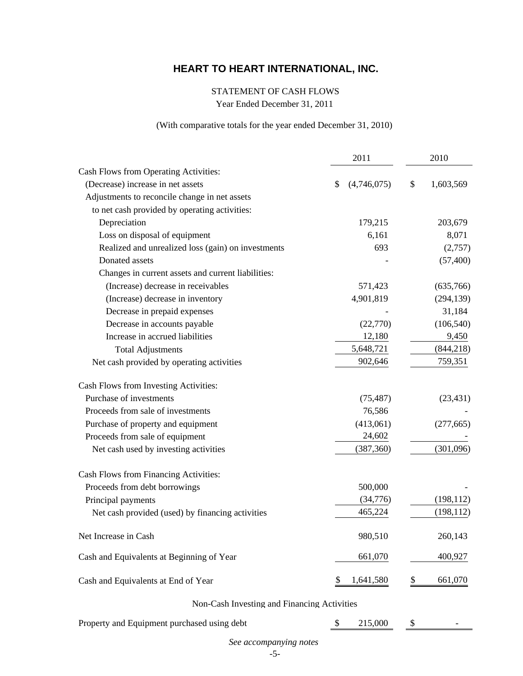#### STATEMENT OF CASH FLOWS

Year Ended December 31, 2011

#### (With comparative totals for the year ended December 31, 2010)

|                                                    | 2011             | 2010            |  |  |
|----------------------------------------------------|------------------|-----------------|--|--|
| Cash Flows from Operating Activities:              |                  |                 |  |  |
| (Decrease) increase in net assets                  | (4,746,075)<br>S | \$<br>1,603,569 |  |  |
| Adjustments to reconcile change in net assets      |                  |                 |  |  |
| to net cash provided by operating activities:      |                  |                 |  |  |
| Depreciation                                       | 179,215          | 203,679         |  |  |
| Loss on disposal of equipment                      | 6,161            | 8,071           |  |  |
| Realized and unrealized loss (gain) on investments | 693              | (2,757)         |  |  |
| Donated assets                                     |                  | (57, 400)       |  |  |
| Changes in current assets and current liabilities: |                  |                 |  |  |
| (Increase) decrease in receivables                 | 571,423          | (635,766)       |  |  |
| (Increase) decrease in inventory                   | 4,901,819        | (294, 139)      |  |  |
| Decrease in prepaid expenses                       |                  | 31,184          |  |  |
| Decrease in accounts payable                       | (22,770)         | (106, 540)      |  |  |
| Increase in accrued liabilities                    | 12,180           | 9,450           |  |  |
| <b>Total Adjustments</b>                           | 5,648,721        | (844, 218)      |  |  |
| Net cash provided by operating activities          | 902,646          | 759,351         |  |  |
| Cash Flows from Investing Activities:              |                  |                 |  |  |
| Purchase of investments                            | (75, 487)        | (23, 431)       |  |  |
| Proceeds from sale of investments                  | 76,586           |                 |  |  |
| Purchase of property and equipment                 | (413,061)        | (277, 665)      |  |  |
| Proceeds from sale of equipment                    | 24,602           |                 |  |  |
| Net cash used by investing activities              | (387, 360)       | (301,096)       |  |  |
| Cash Flows from Financing Activities:              |                  |                 |  |  |
| Proceeds from debt borrowings                      | 500,000          |                 |  |  |
| Principal payments                                 | (34,776)         | (198, 112)      |  |  |
| Net cash provided (used) by financing activities   | 465,224          | (198, 112)      |  |  |
| Net Increase in Cash                               | 980,510          | 260,143         |  |  |
| Cash and Equivalents at Beginning of Year          | 661,070          | 400,927         |  |  |
| Cash and Equivalents at End of Year                | 1,641,580        | \$<br>661,070   |  |  |

## Non-Cash Investing and Financing Activities

Property and Equipment purchased using debt  $\qquad \qquad$  \$ 215,000  $\qquad \qquad$  5 -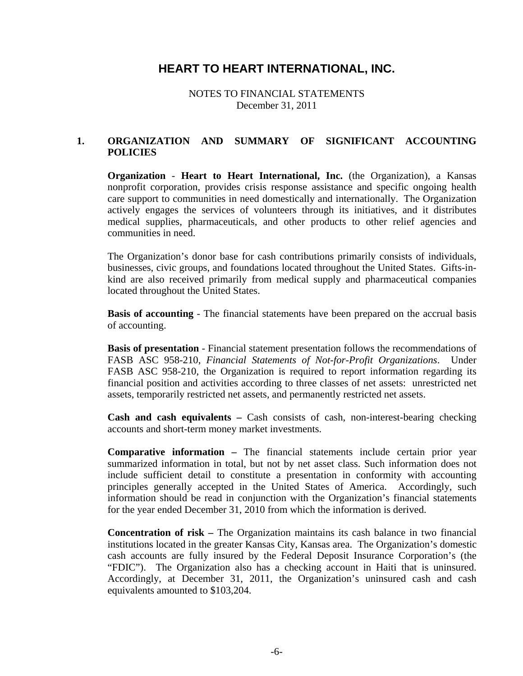NOTES TO FINANCIAL STATEMENTS December 31, 2011

### **1. ORGANIZATION AND SUMMARY OF SIGNIFICANT ACCOUNTING POLICIES**

**Organization** - **Heart to Heart International, Inc.** (the Organization), a Kansas nonprofit corporation, provides crisis response assistance and specific ongoing health care support to communities in need domestically and internationally. The Organization actively engages the services of volunteers through its initiatives, and it distributes medical supplies, pharmaceuticals, and other products to other relief agencies and communities in need.

The Organization's donor base for cash contributions primarily consists of individuals, businesses, civic groups, and foundations located throughout the United States. Gifts-inkind are also received primarily from medical supply and pharmaceutical companies located throughout the United States.

**Basis of accounting** - The financial statements have been prepared on the accrual basis of accounting.

**Basis of presentation** - Financial statement presentation follows the recommendations of FASB ASC 958-210, *Financial Statements of Not-for-Profit Organizations*. Under FASB ASC 958-210, the Organization is required to report information regarding its financial position and activities according to three classes of net assets: unrestricted net assets, temporarily restricted net assets, and permanently restricted net assets.

**Cash and cash equivalents –** Cash consists of cash, non-interest-bearing checking accounts and short-term money market investments.

**Comparative information –** The financial statements include certain prior year summarized information in total, but not by net asset class. Such information does not include sufficient detail to constitute a presentation in conformity with accounting principles generally accepted in the United States of America. Accordingly, such information should be read in conjunction with the Organization's financial statements for the year ended December 31, 2010 from which the information is derived.

**Concentration of risk –** The Organization maintains its cash balance in two financial institutions located in the greater Kansas City, Kansas area. The Organization's domestic cash accounts are fully insured by the Federal Deposit Insurance Corporation's (the "FDIC"). The Organization also has a checking account in Haiti that is uninsured. Accordingly, at December 31, 2011, the Organization's uninsured cash and cash equivalents amounted to \$103,204.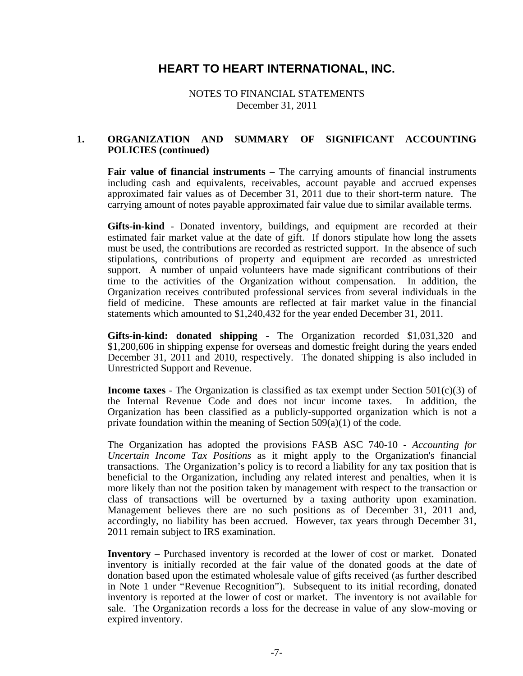NOTES TO FINANCIAL STATEMENTS December 31, 2011

#### **1. ORGANIZATION AND SUMMARY OF SIGNIFICANT ACCOUNTING POLICIES (continued)**

Fair value of financial instruments - The carrying amounts of financial instruments including cash and equivalents, receivables, account payable and accrued expenses approximated fair values as of December 31, 2011 due to their short-term nature. The carrying amount of notes payable approximated fair value due to similar available terms.

**Gifts-in-kind** - Donated inventory, buildings, and equipment are recorded at their estimated fair market value at the date of gift. If donors stipulate how long the assets must be used, the contributions are recorded as restricted support. In the absence of such stipulations, contributions of property and equipment are recorded as unrestricted support. A number of unpaid volunteers have made significant contributions of their time to the activities of the Organization without compensation. In addition, the Organization receives contributed professional services from several individuals in the field of medicine. These amounts are reflected at fair market value in the financial statements which amounted to \$1,240,432 for the year ended December 31, 2011.

**Gifts-in-kind: donated shipping** - The Organization recorded \$1,031,320 and \$1,200,606 in shipping expense for overseas and domestic freight during the years ended December 31, 2011 and 2010, respectively. The donated shipping is also included in Unrestricted Support and Revenue.

**Income taxes** - The Organization is classified as tax exempt under Section 501(c)(3) of the Internal Revenue Code and does not incur income taxes. In addition, the Organization has been classified as a publicly-supported organization which is not a private foundation within the meaning of Section 509(a)(1) of the code.

The Organization has adopted the provisions FASB ASC 740-10 - *Accounting for Uncertain Income Tax Positions* as it might apply to the Organization's financial transactions. The Organization's policy is to record a liability for any tax position that is beneficial to the Organization, including any related interest and penalties, when it is more likely than not the position taken by management with respect to the transaction or class of transactions will be overturned by a taxing authority upon examination. Management believes there are no such positions as of December 31, 2011 and, accordingly, no liability has been accrued. However, tax years through December 31, 2011 remain subject to IRS examination.

**Inventory** – Purchased inventory is recorded at the lower of cost or market. Donated inventory is initially recorded at the fair value of the donated goods at the date of donation based upon the estimated wholesale value of gifts received (as further described in Note 1 under "Revenue Recognition"). Subsequent to its initial recording, donated inventory is reported at the lower of cost or market. The inventory is not available for sale. The Organization records a loss for the decrease in value of any slow-moving or expired inventory.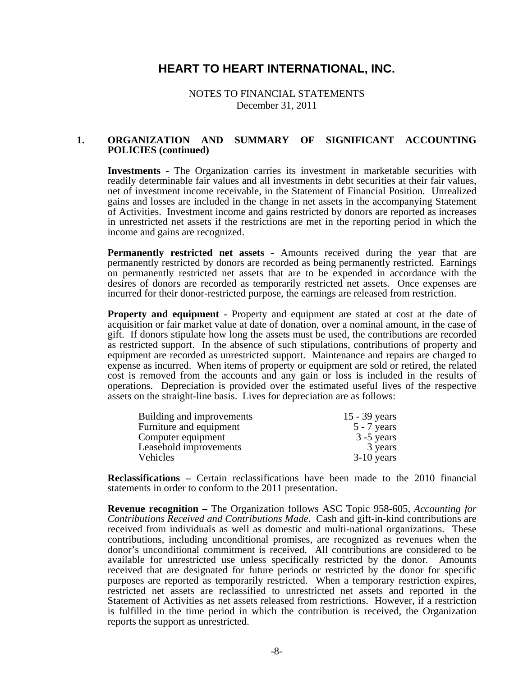NOTES TO FINANCIAL STATEMENTS December 31, 2011

#### **1. ORGANIZATION AND SUMMARY OF SIGNIFICANT ACCOUNTING POLICIES (continued)**

**Investments** - The Organization carries its investment in marketable securities with readily determinable fair values and all investments in debt securities at their fair values, net of investment income receivable, in the Statement of Financial Position. Unrealized gains and losses are included in the change in net assets in the accompanying Statement of Activities. Investment income and gains restricted by donors are reported as increases in unrestricted net assets if the restrictions are met in the reporting period in which the income and gains are recognized.

**Permanently restricted net assets** - Amounts received during the year that are permanently restricted by donors are recorded as being permanently restricted. Earnings on permanently restricted net assets that are to be expended in accordance with the desires of donors are recorded as temporarily restricted net assets. Once expenses are incurred for their donor-restricted purpose, the earnings are released from restriction.

**Property and equipment** - Property and equipment are stated at cost at the date of acquisition or fair market value at date of donation, over a nominal amount, in the case of gift. If donors stipulate how long the assets must be used, the contributions are recorded as restricted support. In the absence of such stipulations, contributions of property and equipment are recorded as unrestricted support. Maintenance and repairs are charged to expense as incurred. When items of property or equipment are sold or retired, the related cost is removed from the accounts and any gain or loss is included in the results of operations. Depreciation is provided over the estimated useful lives of the respective assets on the straight-line basis. Lives for depreciation are as follows:

| Building and improvements | $15 - 39$ years |
|---------------------------|-----------------|
| Furniture and equipment   | $5 - 7$ years   |
| Computer equipment        | $3 - 5$ years   |
| Leasehold improvements    | 3 years         |
| Vehicles                  | $3-10$ years    |

**Reclassifications –** Certain reclassifications have been made to the 2010 financial statements in order to conform to the 2011 presentation.

**Revenue recognition –** The Organization follows ASC Topic 958-605, *Accounting for Contributions Received and Contributions Made*. Cash and gift-in-kind contributions are received from individuals as well as domestic and multi-national organizations. These contributions, including unconditional promises, are recognized as revenues when the donor's unconditional commitment is received. All contributions are considered to be available for unrestricted use unless specifically restricted by the donor. Amounts received that are designated for future periods or restricted by the donor for specific purposes are reported as temporarily restricted. When a temporary restriction expires, restricted net assets are reclassified to unrestricted net assets and reported in the Statement of Activities as net assets released from restrictions. However, if a restriction is fulfilled in the time period in which the contribution is received, the Organization reports the support as unrestricted.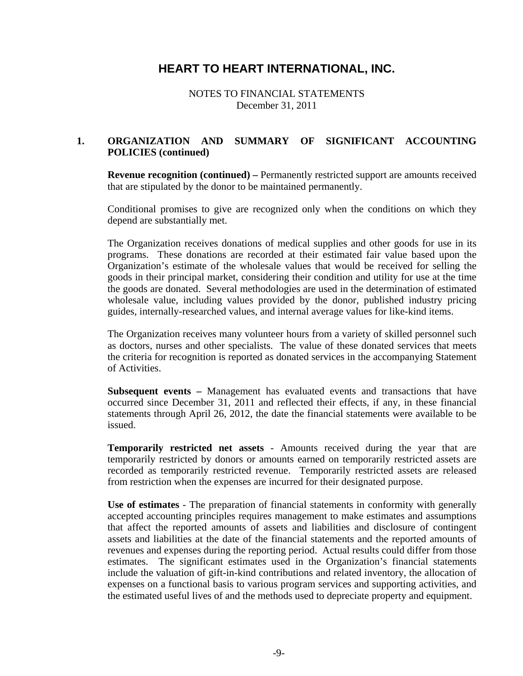NOTES TO FINANCIAL STATEMENTS December 31, 2011

### **1. ORGANIZATION AND SUMMARY OF SIGNIFICANT ACCOUNTING POLICIES (continued)**

**Revenue recognition (continued) –** Permanently restricted support are amounts received that are stipulated by the donor to be maintained permanently.

Conditional promises to give are recognized only when the conditions on which they depend are substantially met.

The Organization receives donations of medical supplies and other goods for use in its programs. These donations are recorded at their estimated fair value based upon the Organization's estimate of the wholesale values that would be received for selling the goods in their principal market, considering their condition and utility for use at the time the goods are donated. Several methodologies are used in the determination of estimated wholesale value, including values provided by the donor, published industry pricing guides, internally-researched values, and internal average values for like-kind items.

The Organization receives many volunteer hours from a variety of skilled personnel such as doctors, nurses and other specialists. The value of these donated services that meets the criteria for recognition is reported as donated services in the accompanying Statement of Activities.

**Subsequent events –** Management has evaluated events and transactions that have occurred since December 31, 2011 and reflected their effects, if any, in these financial statements through April 26, 2012, the date the financial statements were available to be issued.

**Temporarily restricted net assets** - Amounts received during the year that are temporarily restricted by donors or amounts earned on temporarily restricted assets are recorded as temporarily restricted revenue. Temporarily restricted assets are released from restriction when the expenses are incurred for their designated purpose.

**Use of estimates** - The preparation of financial statements in conformity with generally accepted accounting principles requires management to make estimates and assumptions that affect the reported amounts of assets and liabilities and disclosure of contingent assets and liabilities at the date of the financial statements and the reported amounts of revenues and expenses during the reporting period. Actual results could differ from those estimates. The significant estimates used in the Organization's financial statements include the valuation of gift-in-kind contributions and related inventory, the allocation of expenses on a functional basis to various program services and supporting activities, and the estimated useful lives of and the methods used to depreciate property and equipment.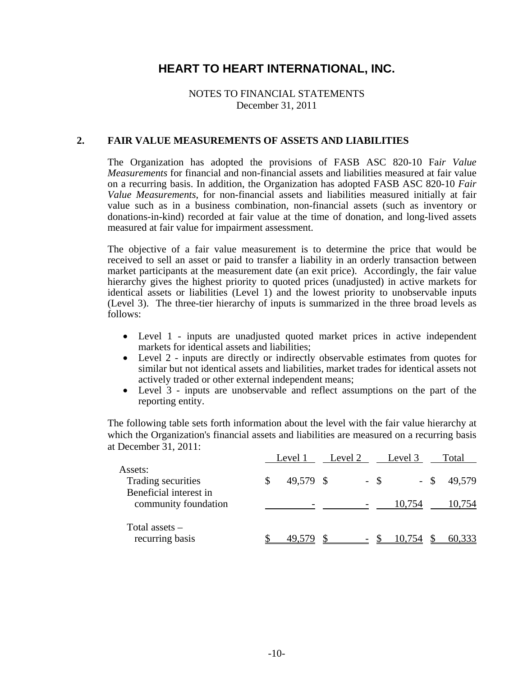### NOTES TO FINANCIAL STATEMENTS December 31, 2011

#### **2. FAIR VALUE MEASUREMENTS OF ASSETS AND LIABILITIES**

The Organization has adopted the provisions of FASB ASC 820-10 Fa*ir Value Measurements* for financial and non-financial assets and liabilities measured at fair value on a recurring basis. In addition, the Organization has adopted FASB ASC 820-10 *Fair Value Measurements*, for non-financial assets and liabilities measured initially at fair value such as in a business combination, non-financial assets (such as inventory or donations-in-kind) recorded at fair value at the time of donation, and long-lived assets measured at fair value for impairment assessment.

The objective of a fair value measurement is to determine the price that would be received to sell an asset or paid to transfer a liability in an orderly transaction between market participants at the measurement date (an exit price). Accordingly, the fair value hierarchy gives the highest priority to quoted prices (unadjusted) in active markets for identical assets or liabilities (Level 1) and the lowest priority to unobservable inputs (Level 3). The three-tier hierarchy of inputs is summarized in the three broad levels as follows:

- Level 1 inputs are unadjusted quoted market prices in active independent markets for identical assets and liabilities;
- Level 2 inputs are directly or indirectly observable estimates from quotes for similar but not identical assets and liabilities, market trades for identical assets not actively traded or other external independent means;
- Level 3 inputs are unobservable and reflect assumptions on the part of the reporting entity.

The following table sets forth information about the level with the fair value hierarchy at which the Organization's financial assets and liabilities are measured on a recurring basis at December 31, 2011:

|                                                         | Level 1   | Level 2 | Level 3 |      | Total  |
|---------------------------------------------------------|-----------|---------|---------|------|--------|
| Assets:<br>Trading securities<br>Beneficial interest in | 49,579 \$ | $-$ \$  |         | - \$ | 49,579 |
| community foundation                                    |           |         | 10,754  |      | 10,754 |
| Total assets $-$<br>recurring basis                     | 49.579    |         | 10,754  |      | 60,333 |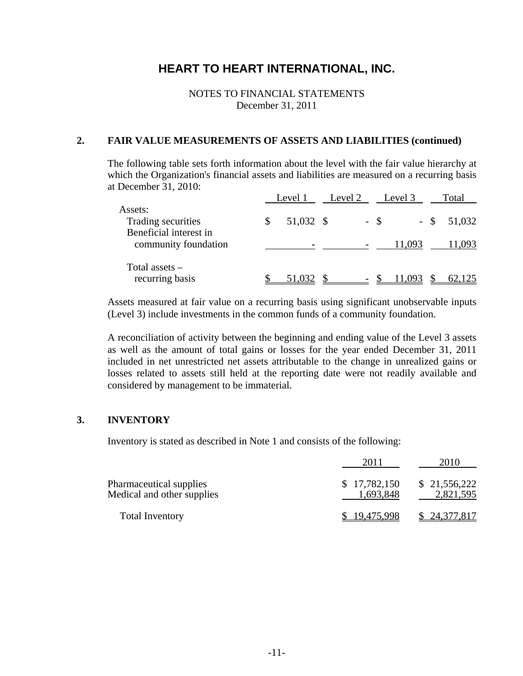NOTES TO FINANCIAL STATEMENTS December 31, 2011

#### **2. FAIR VALUE MEASUREMENTS OF ASSETS AND LIABILITIES (continued)**

The following table sets forth information about the level with the fair value hierarchy at which the Organization's financial assets and liabilities are measured on a recurring basis at December 31, 2010:

|                                                         | Level 1   | Level 2 | Level 3 | Total         |
|---------------------------------------------------------|-----------|---------|---------|---------------|
| Assets:<br>Trading securities<br>Beneficial interest in | 51,032 \$ | $-$ \$  |         | $-$ \$ 51,032 |
| community foundation                                    |           |         | 11,093  | 1,093         |
| Total assets $-$<br>recurring basis                     | 51,032    |         | 11,093  | 62,125        |

Assets measured at fair value on a recurring basis using significant unobservable inputs (Level 3) include investments in the common funds of a community foundation.

A reconciliation of activity between the beginning and ending value of the Level 3 assets as well as the amount of total gains or losses for the year ended December 31, 2011 included in net unrestricted net assets attributable to the change in unrealized gains or losses related to assets still held at the reporting date were not readily available and considered by management to be immaterial.

### **3. INVENTORY**

Inventory is stated as described in Note 1 and consists of the following:

|                                                       | 2011                      | 2010                      |
|-------------------------------------------------------|---------------------------|---------------------------|
| Pharmaceutical supplies<br>Medical and other supplies | \$17,782,150<br>1,693,848 | \$21,556,222<br>2,821,595 |
| <b>Total Inventory</b>                                | \$19,475,998              | \$24,377,817              |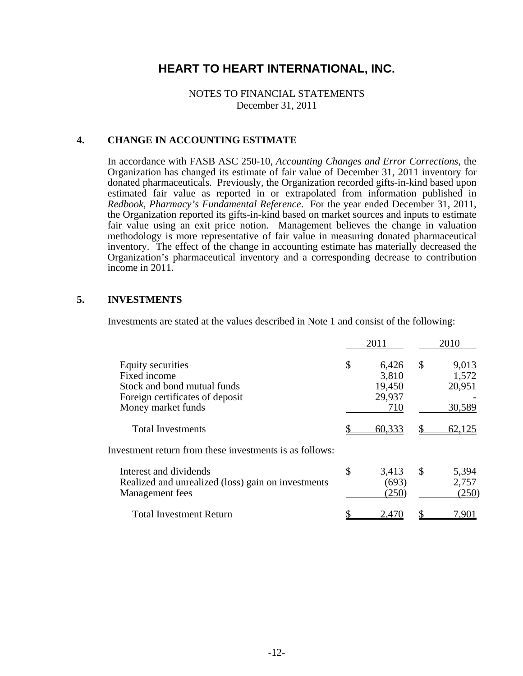NOTES TO FINANCIAL STATEMENTS December 31, 2011

#### **4. CHANGE IN ACCOUNTING ESTIMATE**

In accordance with FASB ASC 250-10, *Accounting Changes and Error Corrections*, the Organization has changed its estimate of fair value of December 31, 2011 inventory for donated pharmaceuticals. Previously, the Organization recorded gifts-in-kind based upon estimated fair value as reported in or extrapolated from information published in *Redbook, Pharmacy's Fundamental Reference*. For the year ended December 31, 2011, the Organization reported its gifts-in-kind based on market sources and inputs to estimate fair value using an exit price notion. Management believes the change in valuation methodology is more representative of fair value in measuring donated pharmaceutical inventory. The effect of the change in accounting estimate has materially decreased the Organization's pharmaceutical inventory and a corresponding decrease to contribution income in 2011.

#### **5. INVESTMENTS**

Investments are stated at the values described in Note 1 and consist of the following:

|                                                                                                                           | 2011                                            |              | 2010                               |
|---------------------------------------------------------------------------------------------------------------------------|-------------------------------------------------|--------------|------------------------------------|
| Equity securities<br>Fixed income<br>Stock and bond mutual funds<br>Foreign certificates of deposit<br>Money market funds | \$<br>6,426<br>3,810<br>19,450<br>29,937<br>710 | $\mathbb{S}$ | 9,013<br>1,572<br>20,951<br>30,589 |
| <b>Total Investments</b>                                                                                                  | 60,333                                          |              | 62,125                             |
| Investment return from these investments is as follows:                                                                   |                                                 |              |                                    |
| Interest and dividends<br>Realized and unrealized (loss) gain on investments<br>Management fees                           | \$<br>3,413<br>(693)<br>(250)                   | \$           | 5,394<br>2,757<br>(250)            |
| <b>Total Investment Return</b>                                                                                            | 2,470                                           |              | 7.901                              |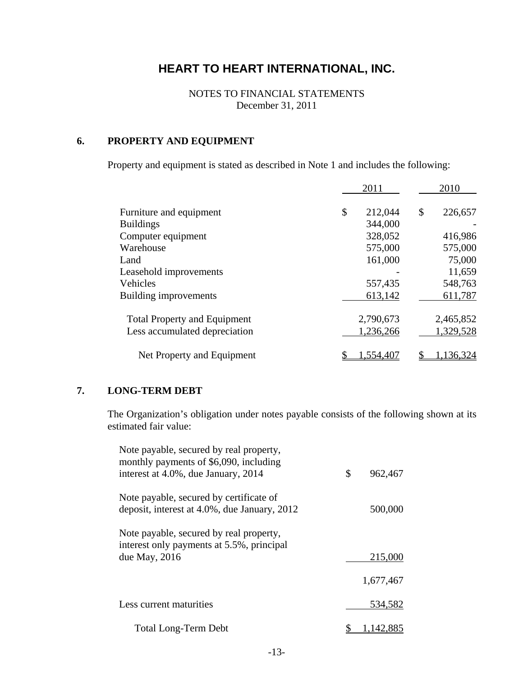NOTES TO FINANCIAL STATEMENTS December 31, 2011

# **6. PROPERTY AND EQUIPMENT**

Property and equipment is stated as described in Note 1 and includes the following:

|                                     | 2011          | 2010          |
|-------------------------------------|---------------|---------------|
| Furniture and equipment             | \$<br>212,044 | \$<br>226,657 |
| <b>Buildings</b>                    | 344,000       |               |
| Computer equipment                  | 328,052       | 416,986       |
| Warehouse                           | 575,000       | 575,000       |
| Land                                | 161,000       | 75,000        |
| Leasehold improvements              |               | 11,659        |
| Vehicles                            | 557,435       | 548,763       |
| Building improvements               | 613,142       | 611,787       |
| <b>Total Property and Equipment</b> | 2,790,673     | 2,465,852     |
| Less accumulated depreciation       | 1,236,266     | 1,329,528     |
| Net Property and Equipment          | 1,554,407     | 1,136,324     |

## **7. LONG-TERM DEBT**

The Organization's obligation under notes payable consists of the following shown at its estimated fair value:

| Note payable, secured by real property,<br>monthly payments of \$6,090, including    |               |
|--------------------------------------------------------------------------------------|---------------|
| interest at 4.0%, due January, 2014                                                  | \$<br>962,467 |
| Note payable, secured by certificate of                                              |               |
| deposit, interest at 4.0%, due January, 2012                                         | 500,000       |
| Note payable, secured by real property,<br>interest only payments at 5.5%, principal |               |
| due May, $2016$                                                                      | 215,000       |
|                                                                                      |               |
|                                                                                      | 1,677,467     |
| Less current maturities                                                              | 534,582       |
|                                                                                      |               |
| <b>Total Long-Term Debt</b>                                                          | 142.885       |
|                                                                                      |               |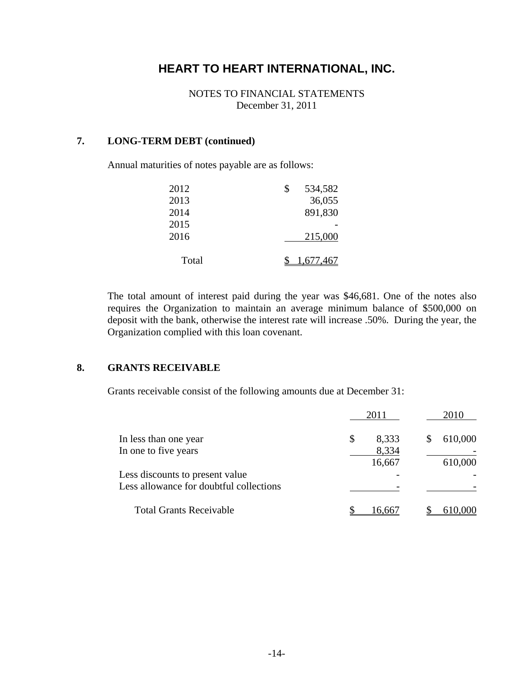NOTES TO FINANCIAL STATEMENTS December 31, 2011

## **7. LONG-TERM DEBT (continued)**

Annual maturities of notes payable are as follows:

| 2012  | \$<br>534,582 |
|-------|---------------|
| 2013  | 36,055        |
| 2014  | 891,830       |
| 2015  |               |
| 2016  | 215,000       |
| Total | 1,677,467     |

The total amount of interest paid during the year was \$46,681. One of the notes also requires the Organization to maintain an average minimum balance of \$500,000 on deposit with the bank, otherwise the interest rate will increase .50%. During the year, the Organization complied with this loan covenant.

### **8. GRANTS RECEIVABLE**

Grants receivable consist of the following amounts due at December 31:

|                                                                            | 2011                           | 2010               |
|----------------------------------------------------------------------------|--------------------------------|--------------------|
| In less than one year<br>In one to five years                              | 8,333<br>\$<br>8,334<br>16,667 | 610,000<br>610,000 |
| Less discounts to present value<br>Less allowance for doubtful collections |                                |                    |
| <b>Total Grants Receivable</b>                                             | 16.667                         |                    |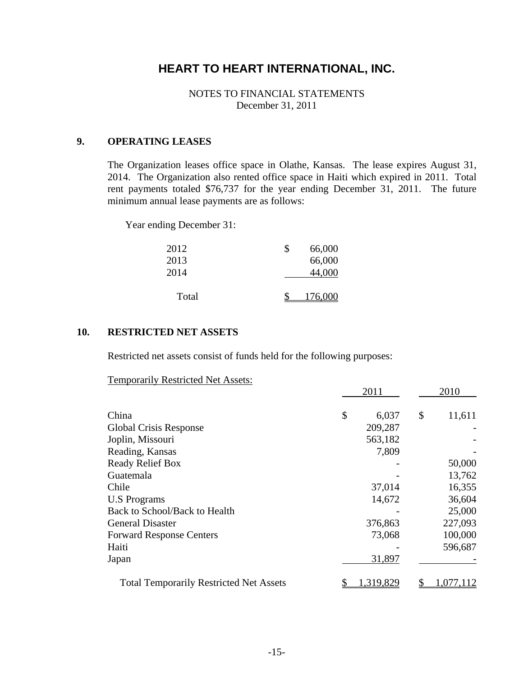NOTES TO FINANCIAL STATEMENTS December 31, 2011

### **9. OPERATING LEASES**

The Organization leases office space in Olathe, Kansas. The lease expires August 31, 2014. The Organization also rented office space in Haiti which expired in 2011. Total rent payments totaled \$76,737 for the year ending December 31, 2011. The future minimum annual lease payments are as follows:

Year ending December 31:

| 2012  | \$<br>66,000 |
|-------|--------------|
| 2013  | 66,000       |
| 2014  | 44,000       |
|       |              |
| Total | 176,000      |

#### **10. RESTRICTED NET ASSETS**

Restricted net assets consist of funds held for the following purposes:

Temporarily Restricted Net Assets:

|                                                | 2011        | 2010         |
|------------------------------------------------|-------------|--------------|
| China                                          | \$<br>6,037 | \$<br>11,611 |
| Global Crisis Response                         | 209,287     |              |
| Joplin, Missouri                               | 563,182     |              |
| Reading, Kansas                                | 7,809       |              |
| <b>Ready Relief Box</b>                        |             | 50,000       |
| Guatemala                                      |             | 13,762       |
| Chile                                          | 37,014      | 16,355       |
| <b>U.S Programs</b>                            | 14,672      | 36,604       |
| Back to School/Back to Health                  |             | 25,000       |
| <b>General Disaster</b>                        | 376,863     | 227,093      |
| <b>Forward Response Centers</b>                | 73,068      | 100,000      |
| Haiti                                          |             | 596,687      |
| Japan                                          | 31,897      |              |
| <b>Total Temporarily Restricted Net Assets</b> | 1,319,829   | 1,077,112    |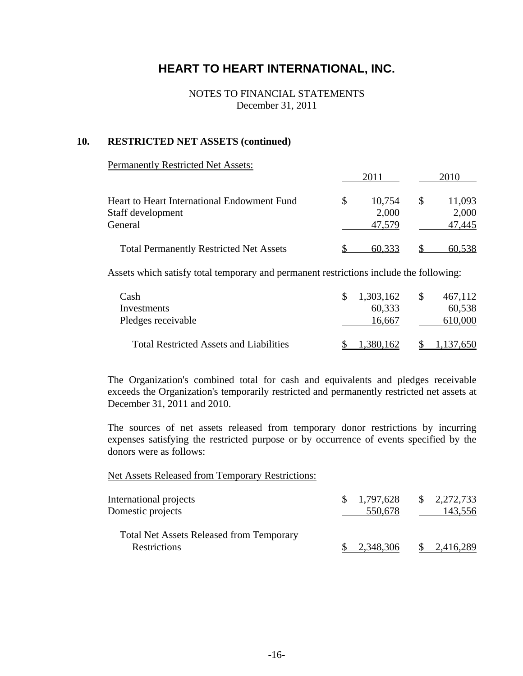#### NOTES TO FINANCIAL STATEMENTS December 31, 2011

#### **10. RESTRICTED NET ASSETS (continued)**

#### Permanently Restricted Net Assets:

|                                                | -2010  | 2010   |
|------------------------------------------------|--------|--------|
| Heart to Heart International Endowment Fund    | 10,754 | 11,093 |
| Staff development                              | 2,000  | 2,000  |
| General                                        | 47,579 | 47,445 |
| <b>Total Permanently Restricted Net Assets</b> | 60,333 | 60,538 |

Assets which satisfy total temporary and permanent restrictions include the following:

| Cash                                           | 1,303,162       | 467,112 |
|------------------------------------------------|-----------------|---------|
| Investments                                    | 60,333          | 60,538  |
| Pledges receivable                             | 16.667          | 610,000 |
| <b>Total Restricted Assets and Liabilities</b> | 62 <sup>o</sup> |         |

The Organization's combined total for cash and equivalents and pledges receivable exceeds the Organization's temporarily restricted and permanently restricted net assets at December 31, 2011 and 2010.

The sources of net assets released from temporary donor restrictions by incurring expenses satisfying the restricted purpose or by occurrence of events specified by the donors were as follows:

#### Net Assets Released from Temporary Restrictions:

| International projects<br>Domestic projects                     | \$1,797,628<br>550,678 | $\frac{1}{2}$ , 2,272,733<br>143,556 |
|-----------------------------------------------------------------|------------------------|--------------------------------------|
| <b>Total Net Assets Released from Temporary</b><br>Restrictions | 2,348,306              | 2,416,289                            |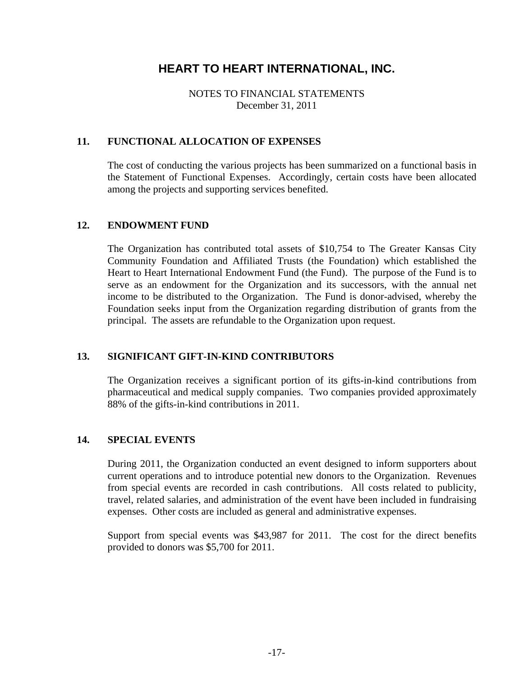NOTES TO FINANCIAL STATEMENTS December 31, 2011

### **11. FUNCTIONAL ALLOCATION OF EXPENSES**

The cost of conducting the various projects has been summarized on a functional basis in the Statement of Functional Expenses. Accordingly, certain costs have been allocated among the projects and supporting services benefited.

### **12. ENDOWMENT FUND**

The Organization has contributed total assets of \$10,754 to The Greater Kansas City Community Foundation and Affiliated Trusts (the Foundation) which established the Heart to Heart International Endowment Fund (the Fund). The purpose of the Fund is to serve as an endowment for the Organization and its successors, with the annual net income to be distributed to the Organization. The Fund is donor-advised, whereby the Foundation seeks input from the Organization regarding distribution of grants from the principal. The assets are refundable to the Organization upon request.

# **13. SIGNIFICANT GIFT-IN-KIND CONTRIBUTORS**

The Organization receives a significant portion of its gifts-in-kind contributions from pharmaceutical and medical supply companies. Two companies provided approximately 88% of the gifts-in-kind contributions in 2011.

#### **14. SPECIAL EVENTS**

During 2011, the Organization conducted an event designed to inform supporters about current operations and to introduce potential new donors to the Organization. Revenues from special events are recorded in cash contributions. All costs related to publicity, travel, related salaries, and administration of the event have been included in fundraising expenses. Other costs are included as general and administrative expenses.

Support from special events was \$43,987 for 2011. The cost for the direct benefits provided to donors was \$5,700 for 2011.